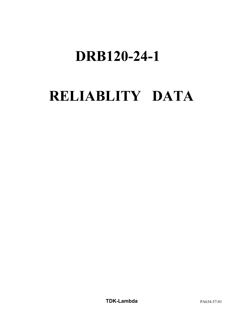# **DRB120-24-1**

# **RELIABLITY DATA**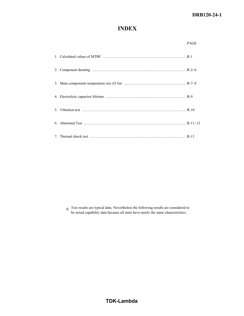## **DRB120-24-1**

## **INDEX**

|  | <b>PAGE</b> |
|--|-------------|
|  |             |
|  |             |
|  |             |
|  |             |
|  |             |
|  |             |
|  |             |

※ Test results are typical data. Nevertheless the following results are considered to be actual capability data because all units have nearly the same characteristics.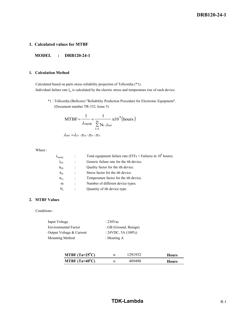## **1. Calculated values for MTBF**

## **MODEL : DRB120-24-1**

## **1. Calculation Method**

 Calculated based on parts stress reliability projection of Tellcordia (\*1). Individual failure rate  $l_{ss}$  is calculated by the electric stress and temperature rise of each device.

\*1 : Tellcordia (Bellcore) "Reliability Prediction Procedure for Electronic Equipment". (Document number TR-332, Issue 5)

$$
MTBF = \frac{1}{\lambda_{\text{equip}}} = \frac{1}{\sum_{i=1}^{m} N_i \cdot \lambda_{\text{ssi}}} x10^9 \text{(hours)}
$$

$$
\lambda_{ssi} = \hspace{-0.1cm} \lambda_{Gi} \cdot \pi_{Qi} \cdot \pi_{Si} \cdot \pi_{Ti}
$$

Where :

| $\lambda_{\text{equip}}$ |                      | Total equipment failure rate (FITs = Failures in $10^9$ hours). |
|--------------------------|----------------------|-----------------------------------------------------------------|
| $\lambda_{\rm Gi}$       |                      | Generic failure rate for the ith device.                        |
| $\pi_{\text{Qi}}$        |                      | Quality factor for the ith device.                              |
| $\pi_{\rm Si}$           |                      | Stress factor for the ith device.                               |
| $\pi_{Ti}$               | $\ddot{\phantom{a}}$ | Temperature factor for the ith device.                          |
| m                        |                      | Number of different device types.                               |
| N,                       |                      | Quantity of ith device type.                                    |
|                          |                      |                                                                 |

## **2. MTBF Values**

Conditions :

| Input Voltage               | $: 230$ Vac           |
|-----------------------------|-----------------------|
| <b>Environmental Factor</b> | : GB (Ground, Benign) |
| Output Voltage & Current    | $: 24VDC, 5A (100\%)$ |
| Mounting Method             | : Mouting $A$         |

| MTBF $(Ta=25^{\circ}C)$ | $\approx$ | 1291932 | <b>Hours</b> |
|-------------------------|-----------|---------|--------------|
| MTBF $(Ta=40^{\circ}C)$ | $\approx$ | 489490  | <b>Hours</b> |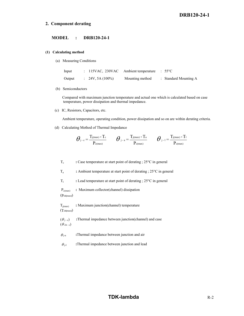## **2. Component derating**

#### **MODEL : DRB120-24-1**

#### **(1) Calculating method**

(a) Measuring Conditions

| Input  |                             | : 115VAC, 230VAC Ambient temperature : $55^{\circ}$ C |                                  |
|--------|-----------------------------|-------------------------------------------------------|----------------------------------|
| Output | $\therefore$ 24V, 5A (100%) | Mounting method                                       | $\therefore$ Standard Mounting A |

(b) Semiconductors

 Compared with maximum junction temperature and actual one which is calculated based on case temperature, power dissipation and thermal impedance.

(c) IC, Resistors, Capacitors, etc.

Ambient temperature, operating condition, power dissipation and so on are within derating criteria.

(d) Calculating Method of Thermal Impedance

$$
\boldsymbol{\theta}_{\text{j-c}}\!=\!\frac{\mathrm{T}_{\text{j}(max)}\!-\!\mathrm{T}_{\text{c}}}{\mathrm{P}_{\text{c}(max)}}\qquad \boldsymbol{\theta}_{\text{j-a}}\!=\!\frac{\mathrm{T}_{\text{j}(max)}\!-\!\mathrm{T}_{\text{a}}}{\mathrm{P}_{\text{c}(max)}}\qquad \boldsymbol{\theta}_{\text{j-1}}\!=\!\frac{\mathrm{T}_{\text{j}(max)}\!-\!\mathrm{T}_{\text{1}}}{\mathrm{P}_{\text{c}(max)}}
$$

T<sub>c</sub> : Case temperature at start point of derating ; 25<sup>o</sup>C in general

Ta **:** Ambient temperature at start point of derating ; 25°C in general

T<sub>1</sub> : Lead temperature at start point of derating ; 25<sup>o</sup>C in general

 Pc(max) **:** Maximum collector(channel) dissipation (Pch**(**max**)**)

Tj(max) **:** Maximum junction(channel) temperature (Tch**(**max**)**)

 $(\theta_{j-c})$  **:**Thermal impedance between junction(channel) and case  $(\theta$  ch - c)

- $\theta_{j-a}$  **:**Thermal impedance between junction and air
- $\theta_{j-1}$  **:**Thermal impedance between junction and lead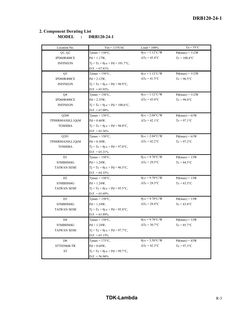| Location No.       | $Vin = 115VAC$                                 | $Load = 100%$                      | $Ta = 55^{\circ}C$ |
|--------------------|------------------------------------------------|------------------------------------|--------------------|
| Q1, Q2             | Timax = $150^{\circ}$ C,                       | $\theta$ j-c = 1.12°C/W            | $Pd(max) = 112W$   |
| IPD60R400CE        | $Pd = 1.17W,$                                  | $\Delta Tc = 45.4$ °C              | $Tc = 100.4$ °C    |
| <b>INFINEON</b>    | $Tj = Tc + \theta j - c \times Pd = 101.7$ °C, |                                    |                    |
|                    | $D.F. = 67.81\%$                               |                                    |                    |
| Q <sub>3</sub>     | Timax = $150^{\circ}$ C,                       | $\theta$ j-c = 1.12°C/W            | $Pd(max) = 112W$   |
| IPD60R400CE        | $Pd = 2.12W,$                                  | $\Delta Tc = 41.5$ °C              | $Tc = 96.5$ °C     |
| <b>INFINEON</b>    | $T_1 = Tc + \theta_1 - c \times Pd = 98.9$ °C, |                                    |                    |
|                    | $D.F. = 65.92\%$                               |                                    |                    |
| Q <sub>4</sub>     | Tjmax = $150^{\circ}$ C,                       | $\overline{\theta}$ j-c = 1.12°C/W | $Pd(max) = 112W$   |
| IPD60R400CE        | $Pd = 2.35W,$                                  | $\Delta Tc = 43.0$ °C              | $Tc = 98.0$ °C     |
| <b>INFINEON</b>    | $Tj = Tc + \theta j - c \times Pd = 100.6$ °C, |                                    |                    |
|                    | $D.F. = 67.09\%$                               |                                    |                    |
| Q200               | $T$ jmax = 150 $\degree$ C,                    | $\theta$ j-c = 2.04°C/W            | $Pd(max) = 61W$    |
| TPH8R80ANH,L1Q(M   | $Pd = 0.46W$ ,                                 | $\Delta Tc = 42.1$ °C              | $Tc = 97.1$ °C     |
| <b>TOSHIBA</b>     | $Tj = Tc + \theta j - c \times Pd = 98.0$ °C,  |                                    |                    |
|                    | $D.F. = 65.36\%$                               |                                    |                    |
| Q201               | $T$ jmax = 150 $\degree$ C,                    | $\theta$ j-c = 2.04°C/W            | $Pd(max) = 61W$    |
| TPH8R80ANH,L1Q(M   | $Pd = 0.30W,$                                  | $\Delta Tc = 42.2$ °C              | $Tc = 97.2$ °C     |
| <b>TOSHIBA</b>     | $T_1 = Tc + \theta_1 - c \times Pd = 97.8$ °C, |                                    |                    |
|                    | $D.F. = 65.21\%$                               |                                    |                    |
| D1                 | $Tjmax = 150^{\circ}C,$                        | $\theta$ j-c = 9.70°C/W            | $Pd(max) = 13W$    |
| S5MBHM4G           | $Pd = 1.24W$ ,                                 | $\Delta Tc = 29.5$ °C              | $Tc = 84.5$ °C     |
| TAIWAN SEMI        | $Tj = Tc + \theta j - c \times Pd = 96.5$ °C,  |                                    |                    |
|                    | $D.F. = 64.35\%$                               |                                    |                    |
| D <sub>2</sub>     | $T$ jmax = 150 $\degree$ C,                    | $\theta$ j-c = 9.70°C/W            | $Pd(max) = 13W$    |
| S5MBHM4G           | $Pd = 1.24W$ ,                                 | $\Delta Tc = 28.5$ °C              | $Tc = 83.5$ °C     |
| TAIWAN SEMI        | $Tj = Tc + \theta j - c \times Pd = 95.5$ °C,  |                                    |                    |
|                    | $D.F. = 63.69\%$                               |                                    |                    |
| D <sub>3</sub>     | Tjmax = $150^{\circ}$ C,                       | $\theta$ j-c = 9.70°C/W            | $Pd(max) = 13W$    |
| S5MBHM4G           | $Pd = 1.24W$ ,                                 | $\Delta Tc = 28.8$ °C              | $T_c = 83.8$ °C    |
| TAIWAN SEMI        | $Tj = Tc + \theta j - c \times Pd = 95.8$ °C,  |                                    |                    |
|                    | $D.F. = 63.89\%$                               |                                    |                    |
| D <sub>4</sub>     | Timax = $150^{\circ}$ C,                       | $\theta$ j-c = 9.70°C/W            | $Pd(max) = 13W$    |
| S5MBHM4G           | $Pd = 1.24W$ ,                                 | $\Delta Tc = 30.7$ °C              | $Tc = 85.7$ °C     |
| <b>TAIWAN SEMI</b> | $Tj = Tc + \theta j - c \times Pd = 97.7$ °C,  |                                    |                    |
|                    | $D.F. = 65.15\%$                               |                                    |                    |
| D <sub>6</sub>     | Timax = $175^{\circ}$ C,                       | $\theta$ j-c = 3.50°C/W            | $Pd(max) = 43W$    |
| STTH506B-TR        | $Pd = 0.68W,$                                  | $\Delta Tc = 42.3$ °C              | $Tc = 97.3$ °C     |
| ${\rm ST}$         | $Tj = Tc + \theta j - c \times Pd = 99.7$ °C,  |                                    |                    |
|                    | $D.F. = 56.96\%$                               |                                    |                    |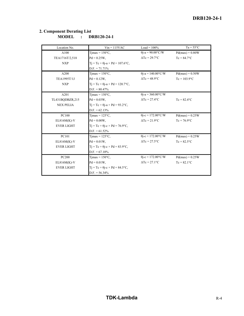| Location No.      | $Vin = 115VAC$                                    | Load = $100\%$                       | $Ta = 55^{\circ}C$ |
|-------------------|---------------------------------------------------|--------------------------------------|--------------------|
| A100              | Timax = $150^{\circ}$ C,                          | $\theta$ j-a = 90.00°C/W             | $Pd(max) = 0.80W$  |
| TEA1716T/2,518    | $Pd = 0.25W$ ,                                    | $\Delta Tc = 29.7$ °C                | $T_c = 84.7$ °C    |
| <b>NXP</b>        | $Tj = Tc + \theta j - a \times Pd = 107.6$ °C,    |                                      |                    |
|                   | $D.F. = 71.71\%$                                  |                                      |                    |
| A200              | Timax = $150^{\circ}$ C,                          | $\theta$ j-a = 140.00°C/W            | $Pd(max) = 0.50W$  |
| TEA1995T/1J       | $Pd = 0.12W$ .                                    | $\Lambda$ Tc = 48.9 $\rm{^{\circ}C}$ | $Tc = 103.9$ °C    |
| <b>NXP</b>        | $T_i = T_c + \theta_i - a \times P_d = 120.7$ °C, |                                      |                    |
|                   | $D.F. = 80.47\%$                                  |                                      |                    |
| A201              | $T$ jmax = 150 $\degree$ C,                       | $\theta$ j-a = 360.00°C/W            |                    |
| TL431BQDBZR,215   | $Pd = 0.03W$ ,                                    | $\Delta Tc = 27.4$ °C                | $T_c = 82.4$ °C    |
| <b>NEX PELIA</b>  | $Tj = Tc + \theta j - a \times Pd = 93.2$ °C,     |                                      |                    |
|                   | $D.F. = 62.13%$                                   |                                      |                    |
| PC100             | Timax = $125^{\circ}$ C,                          | $\theta$ j-c = 172.00°C/W            | $Pd(max) = 0.25W$  |
| $EL816M(K)-V$     | $Pd = 0.00W$ ,                                    | $\Delta Tc = 21.9$ °C                | $T_c = 76.9$ °C    |
| <b>EVER LIGHT</b> | $Ti = Tc + \theta i - c \times Pd = 76.9$ °C,     |                                      |                    |
|                   | $D.F. = 61.52\%$                                  |                                      |                    |
| <b>PC101</b>      | Timax = $125^{\circ}$ C,                          | $\theta$ j-c = 172.00°C/W            | $Pd(max) = 0.25W$  |
| $EL816M(K)-V$     | $Pd = 0.01W$ ,                                    | $\Delta Tc = 27.5$ °C                | $T_c = 82.5$ °C    |
| <b>EVER LIGHT</b> | $T_i = T_c + \theta_i - c \times P_d = 83.9$ °C,  |                                      |                    |
|                   | $D.F. = 67.10\%$                                  |                                      |                    |
| <b>PC200</b>      | $T$ jmax = 150 $\degree$ C,                       | $\theta$ j-c = 172.00°C/W            | $Pd(max) = 0.25W$  |
| $EL816M(K)-V$     | $Pd = 0.01W$ ,                                    | $\Delta Tc = 27.1$ °C                | $T_c = 82.1$ °C    |
| <b>EVER LIGHT</b> | $Ti = Tc + \theta i - c \times Pd = 84.5$ °C,     |                                      |                    |
|                   | $D.F. = 56.34\%$                                  |                                      |                    |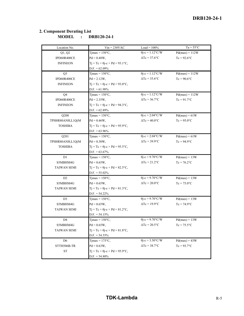| Location No.       | $Vin = 230VAC$                                 | $Load = 100%$                      | $Ta = 55^{\circ}C$ |
|--------------------|------------------------------------------------|------------------------------------|--------------------|
| Q1, Q2             | Tjmax = $150^{\circ}$ C,                       | $\overline{\theta}$ j-c = 1.12°C/W | $Pd(max) = 112W$   |
| IPD60R400CE        | $Pd = 0.48W$ ,                                 | $\Delta Tc = 37.6$ °C              | $Tc = 92.6$ °C     |
| <b>INFINEON</b>    | $Tj = Tc + \theta j - c \times Pd = 93.1$ °C,  |                                    |                    |
|                    | $D.F. = 62.09\%$                               |                                    |                    |
| Q <sub>3</sub>     | Timax = $150^{\circ}$ C,                       | $\theta$ j-c = 1.12°C/W            | $Pd(max) = 112W$   |
| IPD60R400CE        | $Pd = 2.12W,$                                  | $\Delta Tc = 35.6$ °C              | $Tc = 90.6$ °C     |
| <b>INFINEON</b>    | $Tj = Tc + \theta j - c \times Pd = 93.0$ °C,  |                                    |                    |
|                    | $D.F. = 61.98\%$                               |                                    |                    |
| Q <sub>4</sub>     | $T$ jmax = 150 $\degree$ C,                    | $\overline{\theta}$ j-c = 1.12°C/W | $Pd(max) = 112W$   |
| IPD60R400CE        | $Pd = 2.35W,$                                  | $\Delta Tc = 36.7$ °C              | $Tc = 91.7$ °C     |
| <b>INFINEON</b>    | $Tj = Tc + \theta j - c \times Pd = 94.3$ °C,  |                                    |                    |
|                    | $D.F. = 62.89\%$                               |                                    |                    |
| Q200               | $T$ jmax = 150 $\degree$ C,                    | $\theta$ j-c = 2.04°C/W            | $Pd(max) = 61W$    |
| TPH8R80ANH,L1Q(M   | $Pd = 0.46W,$                                  | $\Delta Tc = 40.0$ °C              | $Tc = 95.0$ °C     |
| <b>TOSHIBA</b>     | $T_1 = Tc + \theta_1 - c \times Pd = 95.9$ °C, |                                    |                    |
|                    | $D.F. = 63.96\%$                               |                                    |                    |
| Q201               | $T$ jmax = 150 $\degree$ C,                    | $\theta$ j-c = 2.04°C/W            | $Pd(max) = 61W$    |
| TPH8R80ANH,L1Q(M   | $Pd = 0.30W,$                                  | $\Delta Tc = 39.9$ °C              | $Tc = 94.9$ °C     |
| <b>TOSHIBA</b>     | $Tj = Tc + \theta j - c \times Pd = 95.5$ °C,  |                                    |                    |
|                    | $D.F. = 63.67\%$                               |                                    |                    |
| D1                 | Timax = $150^{\circ}$ C,                       | $\theta$ j-c = 9.70°C/W            | $Pd(max) = 13W$    |
| S5MBHM4G           | $Pd = 0.65W,$                                  | $\Delta Tc = 21.2$ °C              | $Tc = 76.2$ °C     |
| TAIWAN SEMI        | $Tj = Tc + \theta j - c \times Pd = 82.5$ °C,  |                                    |                    |
|                    | $D.F. = 55.02\%$                               |                                    |                    |
| D <sub>2</sub>     | $Tjmax = 150^{\circ}C,$                        | $\theta$ j-c = 9.70°C/W            | $Pd(max) = 13W$    |
| S5MBHM4G           | $Pd = 0.65W,$                                  | $\Delta Tc = 20.0$ °C              | $Tc = 75.0$ °C     |
| <b>TAIWAN SEMI</b> | $Tj = Tc + \theta j - c \times Pd = 81.3$ °C,  |                                    |                    |
|                    | $D.F. = 54.22\%$                               |                                    |                    |
| D <sub>3</sub>     | Timax = $150^{\circ}$ C,                       | $\theta$ j-c = 9.70°C/W            | $Pd(max) = 13W$    |
| S5MBHM4G           | $Pd = 0.65W,$                                  | $\Delta Tc = 19.9$ °C              | $Tc = 74.9$ °C     |
| <b>TAIWAN SEMI</b> | $Tj = Tc + \theta j - c \times Pd = 81.2$ °C,  |                                    |                    |
|                    | $D.F. = 54.15%$                                |                                    |                    |
| D4                 | $T$ jmax = 150 $\degree$ C,                    | $\theta$ j-c = 9.70°C/W            | $Pd(max) = 13W$    |
| S5MBHM4G           | $Pd = 0.65W,$                                  | $\Delta Tc = 20.5$ °C              | $Tc = 75.5$ °C     |
| <b>TAIWAN SEMI</b> | $Tj = Tc + \theta j - c \times Pd = 81.8$ °C,  |                                    |                    |
|                    | $D.F. = 54.55\%$                               |                                    |                    |
| D <sub>6</sub>     | Tjmax = $175^{\circ}$ C,                       | $\theta$ j-c = 3.50°C/W            | $Pd(max) = 43W$    |
| STTH506B-TR        | $Pd = 0.63W,$                                  | $\Delta Tc = 38.7$ °C              | $Tc = 93.7$ °C     |
| <b>ST</b>          | $Tj = Tc + \theta j - c \times Pd = 95.9$ °C,  |                                    |                    |
|                    | $D.F. = 54.80\%$                               |                                    |                    |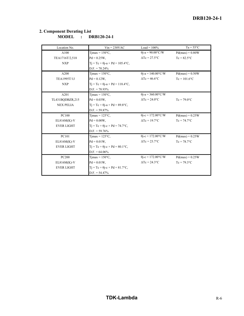| Location No.       | $Vin = 230VAC$                                 | Load = $100\%$            | $Ta = 55^{\circ}C$ |
|--------------------|------------------------------------------------|---------------------------|--------------------|
| A100               | Tjmax = $150^{\circ}$ C,                       | $\theta$ j-a = 90.00°C/W  | $Pd(max) = 0.80W$  |
| TEA1716T/2,518     | $Pd = 0.25W$ ,                                 | $\Delta Tc = 27.5$ °C     | $T_c = 82.5$ °C    |
| <b>NXP</b>         | $Tj = Tc + \theta j - a \times Pd = 105.4$ °C, |                           |                    |
|                    | $D.F. = 70.24\%$                               |                           |                    |
| A200               | $T$ jmax = 150 $\degree$ C,                    | $\theta$ j-a = 140.00°C/W | $Pd(max) = 0.50W$  |
| <b>TEA1995T/1J</b> | $Pd = 0.12W$ .                                 | $\Delta T_c = 46.6$ °C    | $Tc = 101.6$ °C    |
| <b>NXP</b>         | $Tj = Tc + \theta j - a \times Pd = 118.4$ °C, |                           |                    |
|                    | $D.F. = 78.93\%$                               |                           |                    |
| A201               | $T$ jmax = 150 $\degree$ C,                    | $\theta$ j-a = 360.00°C/W |                    |
| TL431BQDBZR,215    | $Pd = 0.03W$ ,                                 | $\Delta Tc = 24.0$ °C     | $T_c = 79.0$ °C    |
| <b>NEX PELIA</b>   | $Tj = Tc + \theta j - a \times Pd = 89.8$ °C,  |                           |                    |
|                    | $D.F. = 59.87\%$                               |                           |                    |
| PC100              | Timax = $125^{\circ}$ C.                       | $\theta$ j-c = 172.00°C/W | $Pd(max) = 0.25W$  |
| $EL816M(K)-V$      | $Pd = 0.00W$ ,                                 | $\Delta Tc = 19.7$ °C     | $T_c = 74.7$ °C    |
| <b>EVER LIGHT</b>  | $Ti = Tc + \theta i - c \times Pd = 74.7$ °C,  |                           |                    |
|                    | $D.F. = 59.76\%$                               |                           |                    |
| PC101              | $T$ jmax = 125 $\rm{^{\circ}C}$ .              | $\theta$ j-c = 172.00°C/W | $Pd(max) = 0.25W$  |
| $EL816M(K)-V$      | $Pd = 0.01W$ ,                                 | $\Delta Tc = 23.7$ °C     | $T_c = 78.7$ °C    |
| <b>EVER LIGHT</b>  | $Ti = Tc + \theta i - c \times Pd = 80.1$ °C,  |                           |                    |
|                    | $D.F. = 64.06\%$                               |                           |                    |
| <b>PC200</b>       | $T$ jmax = 150 $\degree$ C,                    | $\theta$ j-c = 172.00°C/W | $Pd(max) = 0.25W$  |
| $EL816M(K)-V$      | $Pd = 0.01W$ ,                                 | $\Delta Tc = 24.3$ °C     | $T_c = 79.3$ °C    |
| <b>EVER LIGHT</b>  | $Ti = Tc + \theta i - c \times Pd = 81.7$ °C,  |                           |                    |
|                    | $D.F. = 54.47\%$                               |                           |                    |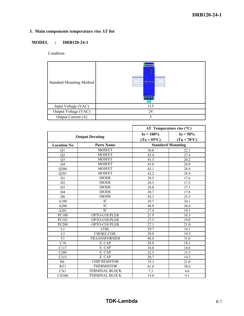## **3. Main components temperature rise ΔT list**

## **MODEL : DRB120-24-1**

Condition:

| <b>Standard Mounting Method</b> | $\bullet \bullet \bullet \bullet$<br><b>MACOCA</b><br>$\frac{1}{2}$<br><b>TDK-Lambda</b><br>DRF129-34-1<br><b>CO-BEDUME</b><br>$\n  •\n  •\n  •\n  •\n  •\n  •\n  •\n  •\n  •\n  •\n  •\n  •\n  •\n  •\n  •\n  •\n  •\n  •\n  •\n  •\n  •\n  •\n  •\n  •\n  $ |
|---------------------------------|---------------------------------------------------------------------------------------------------------------------------------------------------------------------------------------------------------------------------------------------------------------|
| Input Voltage (VAC)             | 115                                                                                                                                                                                                                                                           |
| Output Voltage (VAC)            | 24                                                                                                                                                                                                                                                            |
| Output Current (A)              | 5                                                                                                                                                                                                                                                             |

|                        |                       | $\Delta T$ Temperature rise (°C) |                          |
|------------------------|-----------------------|----------------------------------|--------------------------|
| <b>Output Derating</b> |                       | $I_0 = 100\%$                    | $I_0 = 50\%$             |
|                        |                       | $(Ta = 55^{\circ}C)$             | $(Ta = 70^{\circ}C)$     |
| <b>Location No</b>     | <b>Parts Name</b>     |                                  | <b>Standard Mounting</b> |
| Q1                     | <b>MOSFET</b>         | 36.0                             | 22.1                     |
| Q2                     | <b>MOSFET</b>         | 45.4                             | 27.4                     |
| Q <sub>3</sub>         | <b>MOSFET</b>         | 41.5                             | 26.2                     |
| Q <sub>4</sub>         | <b>MOSFET</b>         | 43.0                             | 26.8                     |
| O <sub>200</sub>       | <b>MOSFET</b>         | 42.1                             | 28.4                     |
| Q201                   | <b>MOSFET</b>         | 42.2                             | 28.9                     |
| D1                     | <b>DIODE</b>          | 29.5                             | 17.6                     |
| D <sub>2</sub>         | <b>DIODE</b>          | 28.5                             | 17.2                     |
| D <sub>3</sub>         | <b>DIODE</b>          | 28.8                             | 17.1                     |
| D <sub>4</sub>         | <b>DIODE</b>          | 30.7                             | 17.8                     |
| D <sub>6</sub>         | <b>DIODE</b>          | 42.3                             | 25.5                     |
| A100                   | IC                    | 29.7                             | 24.1                     |
| A200                   | IC                    | 48.9                             | 36.6                     |
| A201                   | $\overline{IC}$       | 27.4                             | 19.5                     |
| <b>PC100</b>           | OPTO-COUPLER          | 21.9                             | 16.3                     |
| PC101                  | OPTO-COUPLER          | 27.5                             | 19.0                     |
| <b>PC200</b>           | OPTO-COUPLER          | 27.1                             | 21.0                     |
| L1                     | <b>COIL</b>           | 29.7                             | 14.1                     |
| L <sub>3</sub>         | <b>CHOKE COIL</b>     | 30.8                             | 19.5                     |
| T1                     | <b>TRAANSFORMER</b>   | 46.6                             | 31.6                     |
| $\overline{C10}$       | E. CAP                | 28.8                             | 18.3                     |
| $\overline{C117}$      | E. CAP                | 18.8                             | 14.6                     |
| C <sub>209</sub>       | E. CAP                | 22.5                             | 15.5                     |
| C215                   | E. CAP                | 20.7                             | 14.3                     |
| R8                     | <b>CHIP RESISTOR</b>  | 35.3                             | 21.0                     |
| RT1                    | <b>THERMISTOR</b>     | 61.6                             | 38.6                     |
| $\overline{CN}1$       | <b>TERMINAL BLOCK</b> | 7.3                              | 4.6                      |
| <b>CN300</b>           | <b>TERMINAL BLOCK</b> | 15.0                             | 9.1                      |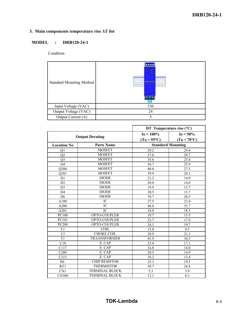## **3. Main components temperature rise ΔT list**

## **MODEL : DRB120-24-1**

Condition:

| <b>Standard Mounting Method</b> | $\bullet \bullet \bullet \bullet$<br>$\frac{1}{2}$<br><b>TDK-Lambda</b><br>038129-34-1<br>$\circ$ $\circ$ $\circ$ |
|---------------------------------|-------------------------------------------------------------------------------------------------------------------|
| Input Voltage (VAC)             | 230                                                                                                               |
| Output Voltage (VAC)            | 24                                                                                                                |
| Output Current (A)              | 5                                                                                                                 |

|                    |                        | DT Temperature rise $(^{\circ}C)$ |                          |  |  |  |  |  |  |  |
|--------------------|------------------------|-----------------------------------|--------------------------|--|--|--|--|--|--|--|
|                    | <b>Output Derating</b> | $I_0 = 100\%$                     | $I_0 = 50\%$             |  |  |  |  |  |  |  |
|                    |                        | $(Ta = 55^{\circ}C)$              | $(Ta = 70^{\circ}C)$     |  |  |  |  |  |  |  |
| <b>Location No</b> | <b>Parts Name</b>      |                                   | <b>Standard Mounting</b> |  |  |  |  |  |  |  |
| Q1                 | <b>MOSFET</b>          | 29.2                              | 24.4                     |  |  |  |  |  |  |  |
| Q2                 | <b>MOSFET</b>          | 37.6                              | 28.7                     |  |  |  |  |  |  |  |
| Q <sub>3</sub>     | <b>MOSFET</b>          | 35.6                              | 25.4                     |  |  |  |  |  |  |  |
| Q <sub>4</sub>     | <b>MOSFET</b>          | 36.7                              | 25.9                     |  |  |  |  |  |  |  |
| Q200               | <b>MOSFET</b>          | 40.0                              | 27.5                     |  |  |  |  |  |  |  |
| Q201               | <b>MOSFET</b>          | 39.9                              | 28.1                     |  |  |  |  |  |  |  |
| D <sub>1</sub>     | <b>DIODE</b>           | 21.2                              | 14.9                     |  |  |  |  |  |  |  |
| D <sub>2</sub>     | <b>DIODE</b>           | 20.0                              | 14.0                     |  |  |  |  |  |  |  |
| D <sub>3</sub>     | <b>DIODE</b>           | 19.9                              | 13.7                     |  |  |  |  |  |  |  |
| D <sub>4</sub>     | <b>DIODE</b>           | 20.5                              | 13.7                     |  |  |  |  |  |  |  |
| D <sub>6</sub>     | <b>DIODE</b>           | 38.7                              | 28.5                     |  |  |  |  |  |  |  |
| A100               | IC                     | 27.5                              | 23.4                     |  |  |  |  |  |  |  |
| A200               | IC                     | 46.6                              | 35.7                     |  |  |  |  |  |  |  |
| A201               | $\overline{IC}$        | 24.0                              | 18.5                     |  |  |  |  |  |  |  |
| PC100              | OPTO-COUPLER           | 19.7                              | 15.5                     |  |  |  |  |  |  |  |
| PC101              | OPTO-COUPLER           | 23.7                              | 17.9                     |  |  |  |  |  |  |  |
| <b>PC200</b>       | OPTO-COUPLER           | 24.3                              | 19.7                     |  |  |  |  |  |  |  |
| L1                 | <b>COIL</b>            | 15.0                              | 9.5                      |  |  |  |  |  |  |  |
| $\overline{L3}$    | <b>CHOKE COIL</b>      | 29.9                              | 21.3                     |  |  |  |  |  |  |  |
| T1                 | <b>TRAANSFORMER</b>    | 43.9                              | 30.5                     |  |  |  |  |  |  |  |
| $\overline{C10}$   | E. CAP                 | 23.4                              | 17.1                     |  |  |  |  |  |  |  |
| C117               | E. CAP                 | 16.8                              | 14.0                     |  |  |  |  |  |  |  |
| C209               | E. CAP                 | 20.5                              | 14.9                     |  |  |  |  |  |  |  |
| C215               | E. CAP                 | 18.2                              | 13.4                     |  |  |  |  |  |  |  |
| R8                 | <b>CHIP RESISTOR</b>   | 25.3                              | 19.5                     |  |  |  |  |  |  |  |
| RT1                | <b>THERMISTOR</b>      | 39.7                              | 24.8                     |  |  |  |  |  |  |  |
| CN1                | <b>TERMINAL BLOCK</b>  | 5.3                               | 3.9                      |  |  |  |  |  |  |  |
| <b>CN300</b>       | <b>TERMINAL BLOCK</b>  | 12.1                              | 8.3                      |  |  |  |  |  |  |  |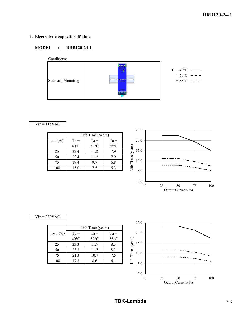## **4. Electrolytic capacitor lifetime**

## **MODEL : DRB120-24-1**



## $Vin = 115VAC$

|             | Life Time (years) |                |                |  |  |  |  |  |  |  |  |  |
|-------------|-------------------|----------------|----------------|--|--|--|--|--|--|--|--|--|
| Load $(\%)$ | $Ta =$            | $Ta =$         | $Ta =$         |  |  |  |  |  |  |  |  |  |
|             | $40^{\circ}$ C    | $50^{\circ}$ C | $55^{\circ}$ C |  |  |  |  |  |  |  |  |  |
| 25          | 22.4              | 11.2           | 7.9            |  |  |  |  |  |  |  |  |  |
| 50          | 22.4              | 11.2           | 7.9            |  |  |  |  |  |  |  |  |  |
| 75          | 19.4              | 9.7            | 6.8            |  |  |  |  |  |  |  |  |  |
|             | 15.0              | 7.5            | 5.3            |  |  |  |  |  |  |  |  |  |



## $Vin = 230VAC$

|             | Life Time (years) |                |                |  |  |  |  |  |  |  |  |  |
|-------------|-------------------|----------------|----------------|--|--|--|--|--|--|--|--|--|
| Load $(\%)$ | $Ta =$            | $Ta =$         | $Ta =$         |  |  |  |  |  |  |  |  |  |
|             | $40^{\circ}$ C    | $50^{\circ}$ C | $55^{\circ}$ C |  |  |  |  |  |  |  |  |  |
| 25          | 23.3              | 11.7           | 8.3            |  |  |  |  |  |  |  |  |  |
| 50          | 23.3              | 11.7           | 8.3            |  |  |  |  |  |  |  |  |  |
| 75          | 21.3              | 10.7           | 7.5            |  |  |  |  |  |  |  |  |  |
| 100         | 17.3              | 8.6            | 61             |  |  |  |  |  |  |  |  |  |



**TDK-Lambda** R-9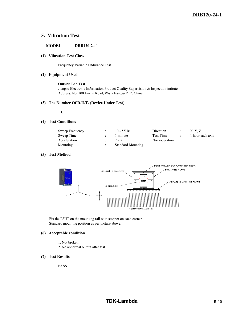## **5. Vibration Test**

## **MODEL : DRB120-24-1**

#### **(1) Vibration Test Class**

Frequency Variable Endurance Test

#### **(2) Equipment Used**

#### **Outside Lab Test**

Jiangsu Electronic Information Product Quality Supervision & Inspection intitute Address: No. 100 Jinshu Road, Wuxi Jiangsu P. R. China

#### **(3) The Number Of D.U.T. (Device Under Test)**

1 Unit

#### **(4) Test Conditions**

| Sweep Frequency | $10 - 55$ Hz             | Direction     | X. Y. Z          |
|-----------------|--------------------------|---------------|------------------|
| Sweep Time      | 1 minute                 | Test Time     | 1 hour each axis |
| Acceleration    | 2.2G                     | Non-operation |                  |
| Mounting        | <b>Standard Mounting</b> |               |                  |

### **(5) Test Method**



 Fix the PSUT on the mounting rail with stopper on each corner. Standard mounting position as per picture above.

#### **(6) Acceptable condition**

- 1. Not broken
- 2. No abnormal output after test.
- **(7) Test Results**

PASS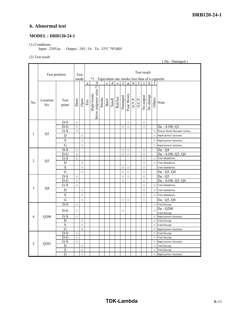## **6. Abnormal test**

## **MODEL : DRB120-24-1**

(1) Conditions

Input : 230Vac Output : 24V, 5A Ta : 25℃ 70%RH

## (2) Test result

|                |                            |                         |         |              |                      |                                                                   |       |                         |                |                           |                |                |                     |                     |         |   | (Da: Damaged) |                               |
|----------------|----------------------------|-------------------------|---------|--------------|----------------------|-------------------------------------------------------------------|-------|-------------------------|----------------|---------------------------|----------------|----------------|---------------------|---------------------|---------|---|---------------|-------------------------------|
|                | Test position              |                         |         | Test<br>mode |                      | Test result<br>*1 : Equivalent one smoke less than of a cigarette |       |                         |                |                           |                |                |                     |                     |         |   |               |                               |
|                |                            |                         |         |              | $\rm{a}$             | b                                                                 |       | $\overline{\mathbf{c}}$ | $\overline{d}$ | $\mathbf{e}$              | $\overline{f}$ | $\overline{g}$ | $\overline{h}$      | T                   |         | k |               |                               |
| No.            | Location<br>N <sub>0</sub> | Test<br>point           | Short   | Open         | Fire<br>Slight Smoke | Below judgment value *1                                           | Smoke |                         |                | Burst<br>Smell<br>Red hot | Damaged        | Fuse blown     | $\overline{O.V.P.}$ | O.C.P.<br>No output |         |   |               | No change<br>Others<br>Others |
|                |                            | $D-S$                   | $\circ$ |              |                      |                                                                   |       |                         |                |                           |                | $\circ$        |                     |                     | $\circ$ |   |               |                               |
|                |                            | $D-G$                   | $\circ$ |              |                      |                                                                   |       |                         |                |                           | $\circ$        | $\circ$        |                     |                     | $\circ$ |   |               | Da: A100, O1                  |
|                |                            | $G-S$                   | $\circ$ |              |                      |                                                                   |       |                         |                |                           |                |                |                     |                     |         |   | $\circ$       | Power factor become worse.    |
| 1              | Q1                         | D                       |         | $\circ$      |                      |                                                                   |       |                         |                |                           |                |                |                     |                     |         |   | $\circ$       | Input power increase.         |
|                |                            | S                       |         | $\circ$      |                      |                                                                   |       |                         |                |                           |                |                |                     |                     |         |   | $\circ$       | Input power increase.         |
|                |                            | G                       |         | $\circ$      |                      |                                                                   |       |                         |                |                           |                |                |                     |                     |         |   | $\circ$       | Input power increase.         |
|                |                            | $\overline{D-S}$        | $\circ$ |              |                      |                                                                   |       |                         |                |                           | $\circ$        | $\circ$        |                     |                     | $\circ$ |   |               | Da:Q4                         |
|                |                            | $D-G$                   | $\circ$ |              |                      |                                                                   |       |                         |                |                           | $\circ$        | $\circ$        |                     |                     | $\circ$ |   |               | Da: A100, Q3, Q4              |
|                |                            | $G-S$                   | $\circ$ |              |                      |                                                                   |       |                         |                |                           |                |                |                     |                     | $\circ$ |   | $\circ$       | Unit shutdown.                |
| $\overline{2}$ | Q <sub>3</sub>             | D                       |         | $\circ$      |                      |                                                                   |       |                         |                |                           |                |                |                     |                     | $\circ$ |   | $\circ$       | Unit shutdown.                |
|                |                            | $\mathbf S$             |         | $\circ$      |                      |                                                                   |       |                         |                |                           | $\circ$        | $\circ$        |                     |                     | $\circ$ |   |               | Unit shutdown.                |
|                |                            | $\overline{G}$          |         | $\circ$      |                      |                                                                   |       |                         |                |                           | $\circ$        | $\circ$        |                     |                     | $\circ$ |   |               | Da: Q3, Q4                    |
|                |                            | $D-S$                   | $\circ$ |              |                      |                                                                   |       |                         |                |                           | $\circ$        | $\circ$        |                     |                     | $\circ$ |   |               | Da:Q3                         |
|                |                            | $D-G$                   | $\circ$ |              |                      |                                                                   |       |                         |                |                           | $\circ$        |                |                     |                     | $\circ$ |   |               | Da: A100, Q3, Q4              |
|                |                            | $G-S$                   | $\circ$ |              |                      |                                                                   |       |                         |                |                           |                |                |                     |                     | $\circ$ |   | $\circ$       | Unit shutdown.                |
| 3              | Q4                         | D                       |         | $\circ$      |                      |                                                                   |       |                         |                |                           |                |                |                     |                     | $\circ$ |   | $\circ$       | Unit shutdown.                |
|                |                            | S                       |         | $\circ$      |                      |                                                                   |       |                         |                |                           |                |                |                     |                     | $\circ$ |   | $\circ$       | Unit shutdown.                |
|                |                            | G                       |         | $\circ$      |                      |                                                                   |       |                         |                |                           | $\circ$        | $\circ$        |                     |                     | $\circ$ |   |               | Da: Q3, Q4                    |
|                |                            | $D-S$                   | $\circ$ |              |                      |                                                                   |       |                         |                |                           |                |                |                     |                     |         |   | $\circ$       | Unit hiccup.                  |
|                |                            | $D-G$                   | $\circ$ |              |                      |                                                                   |       |                         |                |                           | $\circ$        |                |                     |                     |         |   | $\circ$       | Da: Q200<br>Unit hiccup.      |
| $\overline{4}$ | Q200                       | $G-S$                   | $\circ$ |              |                      |                                                                   |       |                         |                |                           |                |                |                     |                     |         |   | $\circ$       | Input power increase.         |
|                |                            | $\overline{D}$          |         | $\circ$      |                      |                                                                   |       |                         |                |                           |                |                |                     |                     |         |   | $\circ$       | Unit hiccup.                  |
|                |                            | $\overline{S}$          |         | $\circ$      |                      |                                                                   |       |                         |                |                           |                |                |                     |                     |         |   | $\circ$       | Unit hiccup.                  |
|                |                            | $\overline{G}$          |         | $\circ$      |                      |                                                                   |       |                         |                |                           |                |                |                     |                     |         |   | $\circ$       | Input power increase.         |
|                |                            | D-S                     | $\circ$ |              |                      |                                                                   |       |                         |                |                           |                |                |                     |                     |         |   | $\circ$       | Unit hiccup.                  |
|                |                            | $D-G$                   | $\circ$ |              |                      |                                                                   |       |                         |                |                           |                |                |                     |                     |         |   | $\circ$       | Unit hiccup.                  |
| 5              | Q201                       | $\overline{G-S}$        | $\circ$ |              |                      |                                                                   |       |                         |                |                           |                |                |                     |                     |         |   | $\circ$       | Input power increase.         |
|                |                            | D                       |         | $\circ$      |                      |                                                                   |       |                         |                |                           |                |                |                     |                     |         |   | $\circ$       | Unit hiccup.                  |
|                |                            | $\overline{\mathrm{s}}$ |         | $\circ$      |                      |                                                                   |       |                         |                |                           |                |                |                     |                     |         |   | $\circ$       | Unit hiccup.                  |
|                |                            | $\overline{G}$          |         | $\circ$      |                      |                                                                   |       |                         |                |                           |                |                |                     |                     |         |   | $\circ$       | Input power increase.         |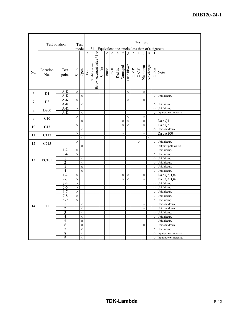|     | Test position    |                |         | Test    | Test result |                                                    |       |                                      |   |              |             |                    |                           |                    |                    |           |            |                         |
|-----|------------------|----------------|---------|---------|-------------|----------------------------------------------------|-------|--------------------------------------|---|--------------|-------------|--------------------|---------------------------|--------------------|--------------------|-----------|------------|-------------------------|
|     |                  |                |         | mode    |             | *1 : Equivalent one smoke less than of a cigarette |       |                                      |   |              |             |                    |                           |                    |                    |           |            |                         |
|     |                  |                |         |         | $\rm{a}$    |                                                    | b     | $\mathbf c$                          | d | $\mathbf{e}$ | $\mathbf f$ | $\overline{g}$     | $\boldsymbol{\mathrm{h}}$ |                    |                    | k         |            |                         |
| No. | Location<br>No.  | Test<br>point  | Short   | Open    | Fire        | Below judgment value *1<br>Slight Smoke            | Smoke | Burst<br>Smell<br>Red hot<br>Damaged |   |              |             | Fuse blown         |                           | $\overline{O.P}$ . | No output          | No change | Others     | Note                    |
| 6   | D <sub>1</sub>   | $A-K$          | $\circ$ |         |             |                                                    |       |                                      |   |              |             | $\circ$            |                           |                    | $\circ$            |           |            |                         |
|     |                  | $A-K$          |         | $\circ$ |             |                                                    |       |                                      |   |              |             |                    |                           |                    |                    |           | $\circ$    | Unit hiccup.            |
| 7   | D <sub>3</sub>   | A-K            | $\circ$ |         |             |                                                    |       |                                      |   |              |             | $\circ$            |                           |                    | $\circ$            |           |            |                         |
|     |                  | $A-K$          |         | $\circ$ |             |                                                    |       |                                      |   |              |             |                    |                           |                    |                    |           | $\circ$    | Unit hiccup.            |
| 8   | D <sub>200</sub> | $A-K$<br>$A-K$ | $\circ$ |         |             |                                                    |       |                                      |   |              |             |                    |                           |                    |                    |           | $\circ$    | Unit hiccup.            |
|     |                  |                | $\circ$ | $\circ$ |             |                                                    |       |                                      |   |              |             |                    |                           |                    |                    |           | $\circ$    | Input power increase.   |
| 9   | C10              |                |         | $\circ$ |             |                                                    |       |                                      |   |              | $\circ$     | $\circ$<br>$\circ$ |                           |                    | $\circ$<br>$\circ$ |           |            | Da:Q1                   |
|     |                  |                | $\circ$ |         |             |                                                    |       |                                      |   |              | $\circ$     | $\circ$            |                           |                    | $\circ$            |           |            | Da:Q3                   |
| 10  | C17              |                |         | $\circ$ |             |                                                    |       |                                      |   |              |             |                    |                           |                    |                    |           | $\circ$    | Unit shutdown.          |
|     |                  |                | $\circ$ |         |             |                                                    |       |                                      |   |              | $\circ$     |                    |                           |                    | $\circ$            |           |            | Da : A100               |
| 11  | C117             |                |         | $\circ$ |             |                                                    |       |                                      |   |              |             |                    |                           |                    |                    | $\circ$   |            |                         |
|     |                  |                | $\circ$ |         |             |                                                    |       |                                      |   |              |             |                    |                           | $\circ$            |                    |           | $\circ$    | Unit hiccup.            |
| 12  | C215             |                |         | $\circ$ |             |                                                    |       |                                      |   |              |             |                    |                           |                    |                    |           | $\circ$    | Output ripple worse.    |
|     |                  | $1 - 2$        | $\circ$ |         |             |                                                    |       |                                      |   |              |             |                    |                           |                    |                    |           | $\circ$    | Unit hiccup.            |
|     |                  | $3 - 4$        | $\circ$ |         |             |                                                    |       |                                      |   |              |             |                    |                           |                    |                    |           | $\circ$    | Unit hiccup.            |
|     |                  | 1              |         | $\circ$ |             |                                                    |       |                                      |   |              |             |                    |                           |                    |                    |           | $\circ$    | Unit hiccup.            |
| 13  | PC101            | $\overline{2}$ |         | $\circ$ |             |                                                    |       |                                      |   |              |             |                    |                           |                    |                    |           | $\circ$    | Unit hiccup.            |
|     |                  | 3              |         | $\circ$ |             |                                                    |       |                                      |   |              |             |                    |                           |                    |                    |           | $\circ$    | Unit hiccup.            |
|     |                  | $\overline{4}$ |         | $\circ$ |             |                                                    |       |                                      |   |              |             |                    |                           |                    |                    |           | $\circ$    | Unit hiccup.            |
|     |                  | $1 - 2$        | $\circ$ |         |             |                                                    |       |                                      |   |              | $\circ$     | $\circ$            |                           |                    | $\circ$            |           |            | Da : Q3, Q4             |
|     |                  | $2 - 3$        | $\circ$ |         |             |                                                    |       |                                      |   |              | $\circ$     | $\circ$            |                           |                    | $\circ$            |           |            | Da : O3. O4             |
|     |                  | $3-4$          | $\circ$ |         |             |                                                    |       |                                      |   |              |             |                    |                           |                    |                    |           | $\circ$    | Unit hiccup.            |
|     |                  | $5 - 6$        | $\circ$ |         |             |                                                    |       |                                      |   |              |             |                    |                           |                    |                    |           | $\circ$    | Unit hiccup.            |
|     |                  | $6 - 7$        | $\circ$ |         |             |                                                    |       |                                      |   |              |             |                    |                           |                    |                    |           | $\circ$    | Unit hiccup.            |
|     |                  | $7 - 8$        | $\circ$ |         |             |                                                    |       |                                      |   |              |             |                    |                           |                    |                    |           | $\circ$    | Unit hiccup.            |
|     |                  | $8-9$          | $\circ$ |         |             |                                                    |       |                                      |   |              |             |                    |                           |                    |                    |           | $\bigcirc$ | Unit hiccup.            |
|     |                  | 1              |         | $\circ$ |             |                                                    |       |                                      |   |              |             |                    |                           |                    | $\circ$            |           |            | Unit shutdown.          |
| 14  | T <sub>1</sub>   | $\overline{2}$ |         | $\circ$ |             |                                                    |       |                                      |   |              |             |                    |                           |                    | $\circ$            |           |            | Unit shutdown.          |
|     |                  | $\overline{3}$ |         | $\circ$ |             |                                                    |       |                                      |   |              |             |                    |                           |                    |                    |           | $\circ$    | Unit hiccup.            |
|     |                  | $\overline{4}$ |         | $\circ$ |             |                                                    |       |                                      |   |              |             |                    |                           |                    |                    |           | $\circ$    | Unit hiccup.            |
|     |                  | 5              |         | $\circ$ |             |                                                    |       |                                      |   |              |             |                    |                           |                    |                    |           | $\circ$    | Unit hiccup.            |
|     |                  | 6              |         | $\circ$ |             |                                                    |       |                                      |   |              |             |                    |                           |                    | $\circ$            |           |            | Unit shutdown.          |
|     |                  | 7              |         | $\circ$ |             |                                                    |       |                                      |   |              |             |                    |                           |                    |                    |           | $\circ$    | Unit hiccup.            |
|     |                  | $\overline{8}$ |         | $\circ$ |             |                                                    |       |                                      |   |              |             |                    |                           |                    |                    |           | $\circ$    | Input power increase.   |
|     |                  | $\overline{9}$ |         | $\circ$ |             |                                                    |       |                                      |   |              |             |                    |                           |                    |                    |           |            | O Input power increase. |